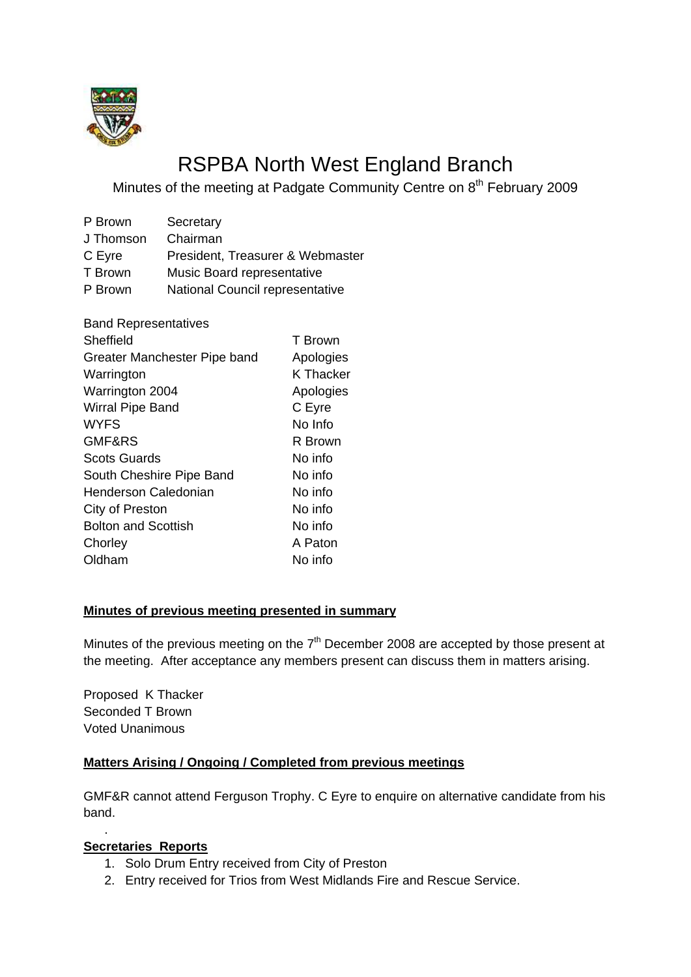

# RSPBA North West England Branch

Minutes of the meeting at Padgate Community Centre on 8<sup>th</sup> February 2009

| P Brown   | Secretary                        |
|-----------|----------------------------------|
| J Thomson | Chairman                         |
| C Eyre    | President, Treasurer & Webmaster |
| T Brown   | Music Board representative       |
| P Brown   | National Council representative  |

| <b>Band Representatives</b>  |           |
|------------------------------|-----------|
| Sheffield                    | T Brown   |
| Greater Manchester Pipe band | Apologies |
| Warrington                   | K Thacker |
| Warrington 2004              | Apologies |
| Wirral Pipe Band             | C Eyre    |
| <b>WYFS</b>                  | No Info   |
| GMF&RS                       | R Brown   |
| <b>Scots Guards</b>          | No info   |
| South Cheshire Pipe Band     | No info   |
| Henderson Caledonian         | No info   |
| City of Preston              | No info   |
| <b>Bolton and Scottish</b>   | No info   |
| Chorley                      | A Paton   |
| Oldham                       | No info   |
|                              |           |

#### **Minutes of previous meeting presented in summary**

Minutes of the previous meeting on the  $7<sup>th</sup>$  December 2008 are accepted by those present at the meeting. After acceptance any members present can discuss them in matters arising.

Proposed K Thacker Seconded T Brown Voted Unanimous

# **Matters Arising / Ongoing / Completed from previous meetings**

GMF&R cannot attend Ferguson Trophy. C Eyre to enquire on alternative candidate from his band.

### **Secretaries Reports**

.

- 1. Solo Drum Entry received from City of Preston
- 2. Entry received for Trios from West Midlands Fire and Rescue Service.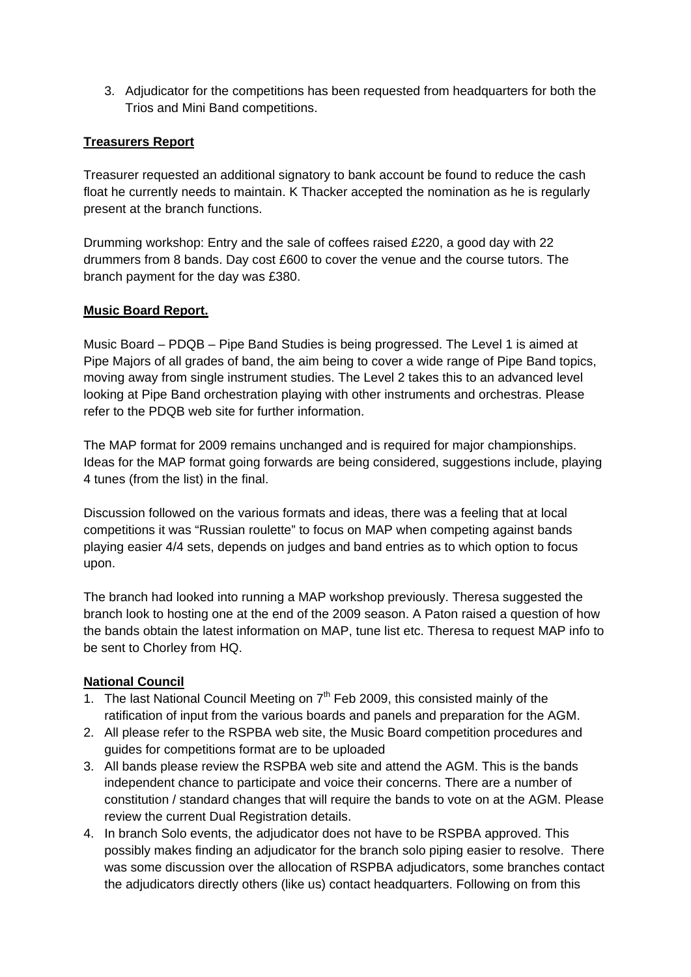3. Adjudicator for the competitions has been requested from headquarters for both the Trios and Mini Band competitions.

# **Treasurers Report**

Treasurer requested an additional signatory to bank account be found to reduce the cash float he currently needs to maintain. K Thacker accepted the nomination as he is regularly present at the branch functions.

Drumming workshop: Entry and the sale of coffees raised £220, a good day with 22 drummers from 8 bands. Day cost £600 to cover the venue and the course tutors. The branch payment for the day was £380.

### **Music Board Report.**

Music Board – PDQB – Pipe Band Studies is being progressed. The Level 1 is aimed at Pipe Majors of all grades of band, the aim being to cover a wide range of Pipe Band topics, moving away from single instrument studies. The Level 2 takes this to an advanced level looking at Pipe Band orchestration playing with other instruments and orchestras. Please refer to the PDQB web site for further information.

The MAP format for 2009 remains unchanged and is required for major championships. Ideas for the MAP format going forwards are being considered, suggestions include, playing 4 tunes (from the list) in the final.

Discussion followed on the various formats and ideas, there was a feeling that at local competitions it was "Russian roulette" to focus on MAP when competing against bands playing easier 4/4 sets, depends on judges and band entries as to which option to focus upon.

The branch had looked into running a MAP workshop previously. Theresa suggested the branch look to hosting one at the end of the 2009 season. A Paton raised a question of how the bands obtain the latest information on MAP, tune list etc. Theresa to request MAP info to be sent to Chorley from HQ.

### **National Council**

- 1. The last National Council Meeting on  $7<sup>th</sup>$  Feb 2009, this consisted mainly of the ratification of input from the various boards and panels and preparation for the AGM.
- 2. All please refer to the RSPBA web site, the Music Board competition procedures and guides for competitions format are to be uploaded
- 3. All bands please review the RSPBA web site and attend the AGM. This is the bands independent chance to participate and voice their concerns. There are a number of constitution / standard changes that will require the bands to vote on at the AGM. Please review the current Dual Registration details.
- 4. In branch Solo events, the adjudicator does not have to be RSPBA approved. This possibly makes finding an adjudicator for the branch solo piping easier to resolve. There was some discussion over the allocation of RSPBA adjudicators, some branches contact the adjudicators directly others (like us) contact headquarters. Following on from this